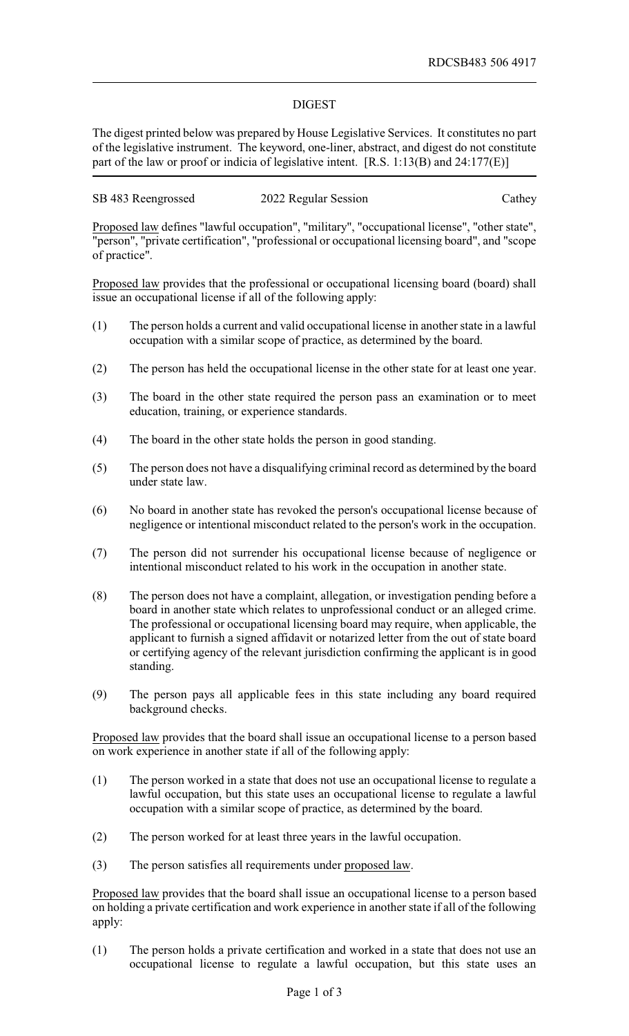## DIGEST

The digest printed below was prepared by House Legislative Services. It constitutes no part of the legislative instrument. The keyword, one-liner, abstract, and digest do not constitute part of the law or proof or indicia of legislative intent. [R.S. 1:13(B) and 24:177(E)]

| SB 483 Reengrossed | 2022 Regular Session | Cathey |
|--------------------|----------------------|--------|
|                    |                      |        |

Proposed law defines "lawful occupation", "military", "occupational license", "other state", "person", "private certification", "professional or occupational licensing board", and "scope of practice".

Proposed law provides that the professional or occupational licensing board (board) shall issue an occupational license if all of the following apply:

- (1) The person holds a current and valid occupational license in another state in a lawful occupation with a similar scope of practice, as determined by the board.
- (2) The person has held the occupational license in the other state for at least one year.
- (3) The board in the other state required the person pass an examination or to meet education, training, or experience standards.
- (4) The board in the other state holds the person in good standing.
- (5) The person does not have a disqualifying criminal record as determined by the board under state law.
- (6) No board in another state has revoked the person's occupational license because of negligence or intentional misconduct related to the person's work in the occupation.
- (7) The person did not surrender his occupational license because of negligence or intentional misconduct related to his work in the occupation in another state.
- (8) The person does not have a complaint, allegation, or investigation pending before a board in another state which relates to unprofessional conduct or an alleged crime. The professional or occupational licensing board may require, when applicable, the applicant to furnish a signed affidavit or notarized letter from the out of state board or certifying agency of the relevant jurisdiction confirming the applicant is in good standing.
- (9) The person pays all applicable fees in this state including any board required background checks.

Proposed law provides that the board shall issue an occupational license to a person based on work experience in another state if all of the following apply:

- (1) The person worked in a state that does not use an occupational license to regulate a lawful occupation, but this state uses an occupational license to regulate a lawful occupation with a similar scope of practice, as determined by the board.
- (2) The person worked for at least three years in the lawful occupation.
- (3) The person satisfies all requirements under proposed law.

Proposed law provides that the board shall issue an occupational license to a person based on holding a private certification and work experience in another state if all of the following apply:

(1) The person holds a private certification and worked in a state that does not use an occupational license to regulate a lawful occupation, but this state uses an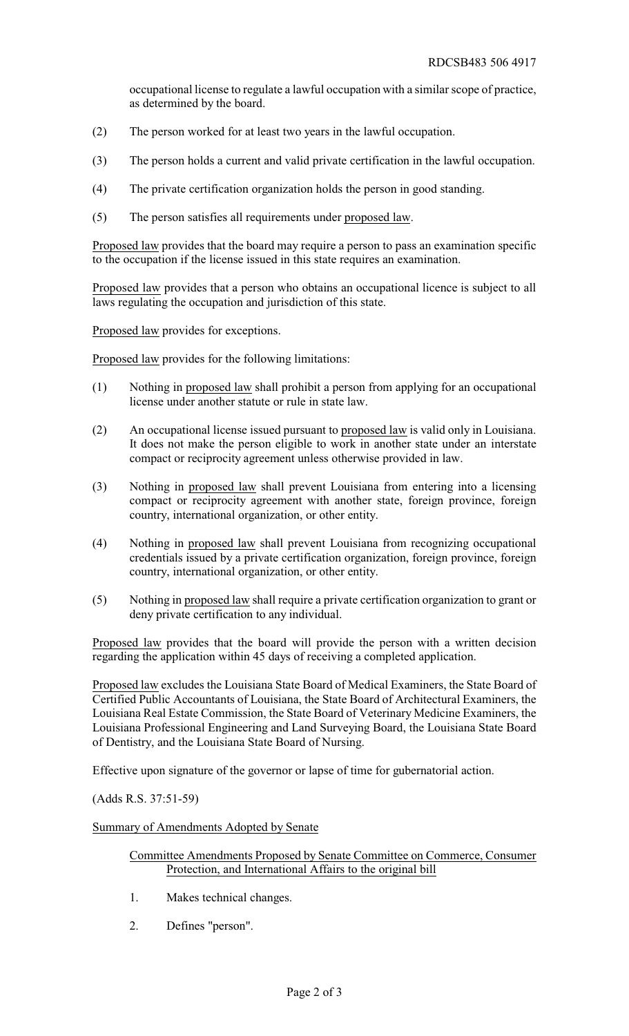occupational license to regulate a lawful occupation with a similar scope of practice, as determined by the board.

- (2) The person worked for at least two years in the lawful occupation.
- (3) The person holds a current and valid private certification in the lawful occupation.
- (4) The private certification organization holds the person in good standing.
- (5) The person satisfies all requirements under proposed law.

Proposed law provides that the board may require a person to pass an examination specific to the occupation if the license issued in this state requires an examination.

Proposed law provides that a person who obtains an occupational licence is subject to all laws regulating the occupation and jurisdiction of this state.

Proposed law provides for exceptions.

Proposed law provides for the following limitations:

- (1) Nothing in proposed law shall prohibit a person from applying for an occupational license under another statute or rule in state law.
- (2) An occupational license issued pursuant to proposed law is valid only in Louisiana. It does not make the person eligible to work in another state under an interstate compact or reciprocity agreement unless otherwise provided in law.
- (3) Nothing in proposed law shall prevent Louisiana from entering into a licensing compact or reciprocity agreement with another state, foreign province, foreign country, international organization, or other entity.
- (4) Nothing in proposed law shall prevent Louisiana from recognizing occupational credentials issued by a private certification organization, foreign province, foreign country, international organization, or other entity.
- (5) Nothing in proposed law shall require a private certification organization to grant or deny private certification to any individual.

Proposed law provides that the board will provide the person with a written decision regarding the application within 45 days of receiving a completed application.

Proposed law excludes the Louisiana State Board of Medical Examiners, the State Board of Certified Public Accountants of Louisiana, the State Board of Architectural Examiners, the Louisiana Real Estate Commission, the State Board of Veterinary Medicine Examiners, the Louisiana Professional Engineering and Land Surveying Board, the Louisiana State Board of Dentistry, and the Louisiana State Board of Nursing.

Effective upon signature of the governor or lapse of time for gubernatorial action.

(Adds R.S. 37:51-59)

Summary of Amendments Adopted by Senate

- Committee Amendments Proposed by Senate Committee on Commerce, Consumer Protection, and International Affairs to the original bill
- 1. Makes technical changes.
- 2. Defines "person".